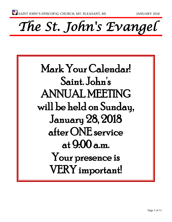*The St. John's Evangel* 

Mark Your Calendar! Saint. John's ANNUAL MEETING will be held on Sunday, January 28, 2018 after ONE service at 9:00 a.m. Your presence is VERY important!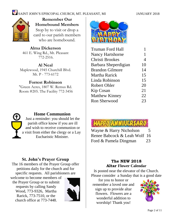

**Remember Our Homebound Members** Stop by to visit or drop a card to our parish members who are homebound.

# **Alma Dickerson**

461 E. Wing Rd., Mt. Pleasant 772-2516.

#### **Al Neal**

Maplewood, 1945 Churchill Blvd. Mt. P - 773-6172

### **Forrest Robinson**

"Green Acres, 1807 W. Remus Rd. Room #205. The Facility 772-3456



### **Home Communion**

Just a reminder: you should let the parish office know if you are ill and wish to receive communion or a visit from either the clergy or a Lay Eucharistic Minister.

## **St. John's Prayer Group**

The 16 members of the Prayer Group offer petitions daily for the church and for specific requests. All parishioners are

welcome to become members of the Prayer Group or to submit requests by calling Sandy Wood, 773-9326, Martha Rarick, 773-7510, or the church office at 773-7448.





| Truman Ford Hall        |    |
|-------------------------|----|
| <b>Nancy Hartshorne</b> | 1  |
| Christi Brookes         | 4  |
| Barbara Sheperdigian    | 10 |
| <b>Brandon Gilmore</b>  | 14 |
| Martha Rarick           | 15 |
| Linda Robinson          | 15 |
| Robert Ohler            | 20 |
| Kip Cosan               | 21 |
| <b>Matthew Kinney</b>   | 22 |
| Ron Sherwood            | 23 |

# **HAPPY ANNIUER**

Wayne & Harry Nicholson 5 Renee Babcock & Leah Wolf 16 Ford & Pamela Dingman 23

#### **The NEW 2018 Altar Flower Calendar**

is posted near the elevator of the Church. Please consider a Sunday that is a good date

for you to honor or remember a loved one and sign up to provide altar flowers. Flowers are a wonderful addition to worshiip! Thank you!

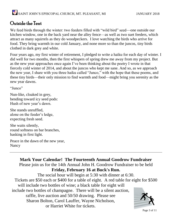## Outside the Tent

We feed birds through the winter: two feeders filled with "wild bird" seed—one outside our kitchen window, one in the back yard near the alley fence—as well as two suet feeders, which attract as many squirrels as they do woodpeckers. I love watching the birds who arrive for food. They bring warmth in our cold January, and none more so than the juncos, tiny birds clothed in dark grey and white.

Four years ago, my first winter of retirement, I pledged to write a haiku for each day of winter. I did well for two months, then the first whispers of spring drew me away from my project. But as the new year approaches once again I've been thinking about the poetry I wrote in that fiercely cold winter of 2014, and about the juncos who kept me sane. And so, as we approach the new year, I share with you three haiku called "Junco," with the hope that these poems, and these tiny birds—their only mission to find warmth and food—might bring you serenity as the new year dawns.

"Junco"

Nun-like, cloaked in grey, bending toward icy seed pods: Hush of new year's dawn.

She stands unruffled, alone on the feeder's ledge, expecting fresh seed.

She waits silently, round softness on bar branches, basking in first light.

Peace in the dawn of the new year, Nancy

### **Mark Your Calendar! The Fourteenth Annual Goodrow Fundraiser**

Please join us for the 14th Annual John H. Goodrow Fundraiser to be held **Friday, February 16 at Buck's Run.**

The social hour will begin at 5:30 with dinner at 6:30. Tickets are \$50 each or \$400 for a table of eight. A red table for eight for \$500 will include two bottles of wine; a black table for eight will include two bottles of champagne. There will be a silent auction, raffle, live auction and 50/50 drawing. Please see Sharon Bolton, Carol Lauffer, Wayne Nicholson, or Harriet White for tickets.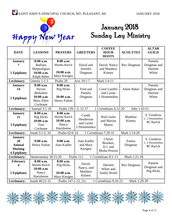

# January 2018 Hanny New Year Sunday Lay Ministry

| <b>DATE</b>                                                                  | <b>LESSONS</b>                                                                         | <b>PRAYERS</b>                                                  | <b>GREETERS</b>                                | <b>COFFEE</b><br><b>HOUR</b><br><b>HOSTS</b>     | <b>ACOLYTES</b>    | <b>ALTAR</b><br><b>GUILD</b>               |  |
|------------------------------------------------------------------------------|----------------------------------------------------------------------------------------|-----------------------------------------------------------------|------------------------------------------------|--------------------------------------------------|--------------------|--------------------------------------------|--|
| <b>January</b><br>7<br>1 Epiphany                                            | 8:00 a.m.<br><b>Barbara</b><br>Sheperdigian<br>10:00 a.m.<br><b>Ralph Baber</b>        | 8:00 a.m.<br>Martha Rarick<br>10:00 a.m.<br>Mary Kiesgen        | David and<br>Jennifer<br>Dingman               | David, Nancy<br>and Matthew<br>Kinney            | <b>Rex Dingman</b> | Pamela<br>Dingman and<br>Harriett<br>White |  |
| Lectionary:                                                                  | Genesis $1:1-5$                                                                        | Psalm 29                                                        | Acts 19:1-7                                    | Mark 1:4-11                                      |                    |                                            |  |
| <b>January</b><br>14<br>2 Epiphany                                           | 8:00 a.m.<br><b>Steven</b><br><b>Berkshire</b><br>10:00 a.m.<br>Mary Ellen<br>Cochrane | 8:00 a.m.<br>Peg Hicks<br>10:00 a.m.<br>Henry Fulton            | Ford and<br>Pamela<br>Dingman                  | Carol Lauffer<br>and Lynne<br>L'Hommedieu        | <b>Adam Baker</b>  | Pamela<br>Dingman and<br>Harriett<br>White |  |
| Lectionary:                                                                  | 1 Corinthians 6:12-20<br>1 Samuel 3:1-10<br>Psalm 139:1-5, 12-17<br>John 1:43-51       |                                                                 |                                                |                                                  |                    |                                            |  |
| <b>January</b><br>21<br>3 Epiphany                                           | 8:00 a.m.<br>Peg Hicks<br>10:00 a.m.<br>Tom<br>Cochrane                                | 8:00 a.m.<br>Martha Rarick<br>10:00 a.m.<br>Nancy<br>Hartshorne | Candy<br>Henderson<br>and Lynne<br>L'Hommedieu | Rod Leslie<br>and Marian<br>Matyn                | Matthew<br>Kinney  | S. Goodrow<br>L. L'Hommedieu<br>M. Rarick  |  |
| Lectionary:                                                                  | Jonah 3:1-5, 10                                                                        | Psalm 62:6-14                                                   |                                                | 1 Corinthians 7:29-31                            | Mark 1:14-20       |                                            |  |
| <b>January</b><br>28<br><b>Annual</b><br><b>Meeting</b><br><b>4 Epiphany</b> | $9:00$ a.m.<br>Henry Fulton                                                            | $9:00$ a.m.<br>Joan Kadler                                      | Joan Kadler<br>and Mary<br>Kiesgen             | Christi<br>Brookes,<br>D.J. and<br>Misha Proctor | Emma<br>Dingman    | S. Goodrow<br>L. L'Hommedieu<br>M. Rarick  |  |
| <b>Lectionary:</b>                                                           | Deuteronomy 18:15-20                                                                   |                                                                 | Psalm 111                                      | 1 Corinthians 8:1-13                             | Mark 1:21-28       |                                            |  |
| <b>February</b><br>4<br>5 Epiphany                                           | 8:00 a.m.<br>Martha Rarick<br>10:00 a.m.<br>Nancy<br>Hartshorne                        | 8:00 a.m.<br>Peg Hicks<br>10:00 a.m.<br>Mary Kiesgen            | David,<br>Nancy, and<br>Matthew<br>Kinney      | Harriett<br>White and<br>Sandy Wood              | Rex Dingman        | Pamela<br>Dingman and<br>Peg Hicks         |  |
| Lectionary:                                                                  | Isaiah 40:21-31                                                                        | Psalm 147:1-12, 21c                                             |                                                | 1 Corinthians 9:16-23                            | Mark 1:29-39       |                                            |  |

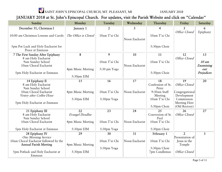### JANUARY 2018 at St. John's Episcopal Church. For updates, visit the Parish Website and click on "Calendar"

| Sunday                                                                | Monday               | Tuesday                       | Wednesday       | Thursday                         | Friday                                      | Saturday           |
|-----------------------------------------------------------------------|----------------------|-------------------------------|-----------------|----------------------------------|---------------------------------------------|--------------------|
| December 31, Christmas I                                              | January 1            | $\overline{2}$                | 3               | 4                                | 5                                           | 6                  |
| 10:00 am Christmas Lessons and Carols                                 | The Office is Closed | 10am T'ai Chi                 | Noon Eucharist  | 10am T'ai Chi                    | Office Closed                               | Epiphany           |
| 5pm Pot Luck and Holy Eucharist for<br>Peace at Emmaus                |                      |                               |                 | 5:30pm Choir                     |                                             |                    |
| 7 The First Sunday After Epiphany                                     | 8                    | 9                             | 10              | 11                               | 12                                          | 13                 |
| 8 am Holy Eucharist<br>9am Sunday School<br>10am Choral Eucharist     | 4pm Music Meeting    | 10am T'ai Chi<br>5:30 pm Yoga | Noon Eucharist  | 10am T'ai Chi                    | Office Closed                               | 10 am<br>Examining |
| 5pm Holy Eucharist at Emmaus                                          | 5:30pm EfM           |                               |                 | 5:30pm Choir                     |                                             | our<br>Prejudices  |
| 14 Epiphany II<br>8 am Holy Eucharist<br>9am Sunday School            | 15                   | 16                            | 17              | 18<br>Confession of St.<br>Peter | 19<br>Office Closed                         | 20                 |
| 10am Choral Eucharist<br>Vestry after Coffee Hour                     | 4pm Music Meeting    | 10am T'ai Chi                 | Noon Eucharist  | 9:30am Staff<br>Meeting          | Congregational<br>Development               |                    |
| 5pm Holy Eucharist at Emmaus                                          | 5:30pm EfM           | 5:30pm Yoga                   |                 | 10am T'ai Chi<br>5:30pm Choir    | Commission<br>Meeting Here<br>(Old Rectory) |                    |
| 21 Epiphany III                                                       | 22                   | 23                            | 24              | 25                               | 26                                          | 27                 |
| 8 am Holy Eucharist<br>9am Sunday School                              | Evangel Deadlne      |                               |                 | Conversion of St.<br>Paul        | Office Closed                               |                    |
| 10am Choral Eucharist                                                 | 4pm Music Meeting    | 10am T'ai Chi                 | Noon Eucharist  | 10am T'ai Chi                    |                                             |                    |
| 5pm Holy Eucharist at Emmaus                                          | 5:30pm EfM           | 5:30pm Yoga                   |                 | 5:30pm Choir                     |                                             |                    |
| 28 Epiphany IV<br><b>One Morning Service</b>                          | 29                   | 30                            | $\overline{31}$ | February 1                       | $\overline{2}$<br>Presentation of           | $\overline{3}$     |
| 10am Choral Eucharist followed by the<br><b>Annual Parish Meeting</b> | 4pm Music Meeting    | 10am T'ai Chi                 | Noon Eucharist  | 10am T'ai Chi                    | Jesus in the<br>Temple                      |                    |
| 5pm Potluck and Holy Eucharist at<br>Emmaus                           | 5:30pm EfM           | 5:30pm Yoga                   |                 | 5:30pm Choir<br>7pm Candlemas    | Office Closed                               |                    |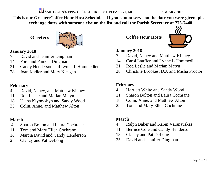

**This is our Greeter/Coffee Hour Host Schedule—If you cannot serve on the date you were given, please exchange dates with someone else on the list and call the Parish Secretary at 773-7448.**

**Greeters**



#### **January 2018**

- David and Jennifer Dingman
- Ford and Pamela Dingman
- Candy Henderson and Lynne L'Hommedieu
- Joan Kadler and Mary Kiesgen

#### **February**

- David, Nancy, and Matthew Kinney
- Rod Leslie and Marian Matyn
- Ulana Klymyshyn and Sandy Wood
- Colin, Anne, and Matthew Alton

### **March**

- Sharon Bolton and Laura Cochrane
- Tom and Mary Ellen Cochrane
- Marcia David and Candy Henderson
- Clancy and Pat DeLong

**Coffee Hour Hosts**



#### **January 2018**

- David, Nancy and Matthew Kinney
- Carol Lauffer and Lynne L'Hommedieu
- Rod Leslie and Marian Matyn
- Christine Brookes, D.J. and Misha Proctor

#### **February**

- Harriett White and Sandy Wood
- Sharon Bolton and Laura Cochrane
- Colin, Anne, and Matthew Alton
- Tom and Mary Ellen Cochrane

#### **March**

- Ralph Baber and Karen Varanauskas
- Bernice Cole and Candy Henderson
- Clancy and Pat DeLong
- David and Jennifer Dingman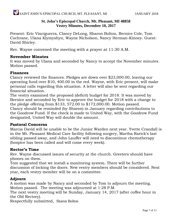#### **St. John's Episcopal Church, Mt. Pleasant, MI 48858 Vestry Minutes, December 10, 2017**

Present: Eric Vinciguerra, Clancy DeLong, Sharon Bolton, Bernice Cole, Tom Cochrane, Ulana Klymyshyn, Wayne Nicholson, Nancy Herman-Kinney. Guest: David Shirley.

Rev. Wayne convened the meeting with a prayer at 11:30 A.M.

#### **November Minutes**

It was moved by Ulana and seconded by Nancy to accept the November minutes. Motion passed.

#### **Finances**

Clancy reviewed the finances. Pledges are down over \$23,000.00, leaving our operating fund over \$10, 400.00 in the red. Wayne, with Eric present, will make personal calls regarding this situation. A letter will also be sent regarding our financial situation.

The vestry examined the proposed (deficit) budget for 2018. It was moved by Bernice and seconded by Eric to approve the budget for 2018 with a change to the pledge offering from \$133, 572.00 to \$172,000.00. Motion passed. Clancy should be reminded (by Sharon) in January regarding contributions to the Goodrow Fund. If the check is made to United Way, with the Goodrow Fund designated, United Way will double the amount.

#### **Pastoral Concerns**

Marcia David will be unable to be the Junior Warden next year. Yvette Crandall is in the Mt. Pleasant Medical Care facility following surgery, Martha Rarick's last sibling passed away, and John Lauffer will need to discontinue chemotherapy (hospice has been called and will come every week).

#### **Rector's Time**

Rev. Wayne discussed issues of security at the church. Greeters should have phones on them.

Tom suggested that we install a monitoring system. There will be further discussion of locking the doors. New vestry members should be considered. Next year, each vestry member will be on a committee.

#### **Adjourn**

A motion was made by Nancy and seconded by Tom to adjourn the meeting. Motion passed. The meeting was adjourned at 1:28 P.M.

The next vestry meeting will be Sunday, January 14, 2017 (after coffee hour in the Old Rectory).

Respectfully submitted, Sharon Bolton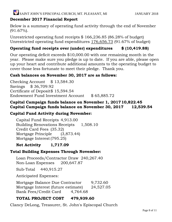#### **December 2017 Financial Report**

Below is a summary of operating fund activity through the end of November (91.67%).

Unrestricted operating fund receipts \$ 166,236.85 (86.28% of budget) Unrestricted operating fund expenditures 176,656.73 (91.67% of budget)

#### **Operating fund receipts over (under) expenditures \$ (10,419.88)**

Our operating deficit exceeds \$10,000.00 with one remaining month in the year. Please make sure you pledge is up to date. If you are able, please open up your heart and contribute additional amounts to the operating budget to cover those less fortunate to meet their pledge. Thank you.

#### **Cash balances on November 30, 2017 are as follows:**

Checking Account \$ 13,584.30 Savings \$ 36,709.92 Certificate of Deposit\$ 15,594.54 Endowment Fund Investment Account \$ 65,885.72

#### **Capital Campaign funds balance on November 1, 201710,822.45 Capital Campaign funds balance on November 30, 2017 12,539.54**

#### **Capital Fund Activity during November:**

Capital Fund Receipts 4,913.00 Building Renovations Receipts 1,508.10 Credit Card Fees (35.32) Mortgage Principle (3,873.44) Mortgage Interest(795.25)

#### **Net Activity 1,717.09**

#### **Total Building Expenses Through November:**

Loan Proceeds/Contractor Draw 240,267.40 Non-Loan Expenses 200,647.87

Sub-Total 440,915.27

Anticipated Expenses:

Mortgage Balance Due Contractor 9,732.60 Mortgage Interest (future estimate) 24,527.05 Bank Fees/Credit Card 4,764.68

#### **TOTAL PROJECT COST 479,939.60**

Clancy DeLong, Treasurer, St. John's Episcopal Church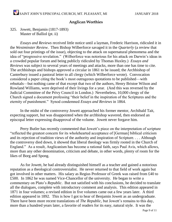#### **Anglican Worthies**

#### 325. Jowett, Benjamin (1817-1893) Master of Balliol (pt. ii)

*Essays and Reviews* received little notice until a layman, Frederic Harrison, ridiculed it in the *Westminster Review*. Then Bishop Wilberforce savaged it in the *Quarterly* (a review that sold out four printings of the issue), objecting to the attack on supernatural phenomena and the idea of "progressive revelation." (Wilberforce was notorious for his attack on Darwin's ideas in a crowded popular forum and being publicly ridiculed by Thomas Huxley.) *Essays and Reviews* was subject to several years of meetings and attacks, more than one has time to cite. The archbishops and bishops approved a circular in 1861 to be issued; the Archbishop of Canterbury issued a pastoral letter to all clergy (which Wilberforce wrote). Convocation considered a paper citing the book's most outrageous quotations to be published—with rebuttals—but nothing came of that except that two of the authors, Henry Bristoe Wilson and Rowland Williams, were deprived of their livings for a year. (And this was reversed by the Judicial Committee of the Privy Council in London.) Nevertheless, 10,000 clergy of the Church signed a document professing "their belief in the inspiration of the Scriptures and the eternity of punishment." Synod condemned *Essays and Reviews* in 1864.

In the midst of the controversy Jowett approached his former mentor, Archibald Tait, expecting support, but was disappointed when the archbishop wavered, then endorsed an episcopal letter expressing disapproval of the volume. Jowett never forgave him.

Perry Butler has recently commented that Jowett's piece on the interpretation of scripture "reflected the greatest concern for its wholehearted acceptance of [German] biblical criticism and its rejection of tradition views of the authority and inspiration of Scripture. . . . Although the controversy died down, it showed that liberal theology was firmly rooted in the Church of England." As a result, Anglicanism has become a rational faith, says Paul Avis, which allows, more than any other denomination, criticism and debate, in other words, plenty of room for the likes of Borg and Spong.

As for Jowett, he had already distinguished himself as a teacher and gained a notorious reputation as a theological controversialist. He never returned to that field of work again but got involved in other matters. His salary as Regius Professor of Greek was raised from £40 to £500. In 1862 he was named Vice-Chancellor of the university. He began to write a commentary on Plato's *Republic*. But not satisfied with his conclusions, he decided to translate all the dialogues, complete with introductory comment and analysis. This edition appeared in 1871 in four volumes; a revised edition in five volumes came out a few years later. A third edition appeared in 1892. This is how I got to hear of Benjamin Jowett as an undergraduate. There have been more recent translations of *The Republic*, but Jowett's remains to this day, more than a hundred years later, a favorite of readers for its easy, natural style. It was the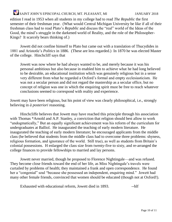edition I read in 1953 when all students in my college had to read *The Republic* the first semester of their freshman year. (What would Central Michigan University be like if all of their freshman class had to read Plato's *Republic* and discuss the "real" world of the Ideas of the Good, the mind's struggle in the darkened world of Reality, and the role of the Philosopher-Kings? It scarcely bears thinking of.)

Jowett did not confine himself to Plato but came out with a translation of Thucydides in 1881 and Aristotle's *Politics* in 1886. (These are less regarded.) In 1870 he was elected Master of the college. Hinchcliff says that

Jowett was now where he had always wanted to be, and merely because it was his personal ambitious but also because in enabled him to achieve what he had long believed to be desirable, an educational institution which was genuinely religious but in a sense very different from what he regarded a Oxford's formal and empty ecclesiasticism. He was not a secular person and did not regard the mastership as a secular office, but no concept of religion was one in which the enquiring spirit must be free to reach whatever conclusions seemed to correspond with reality and experience.

Jowett may have been religious, but his point of view was clearly philosophical, i.e., strongly believing in *à posteriori* reasoning.

Hinchcliffe believes that Jowett may have reached this principle through his association with Thomas \*Arnold and A.P. Stanley, a conviction that religion should best allow to work "undogmatically," But an equally significant achievement was his reform of the curriculum for undergraduates at Balliol. He inaugurated the teaching of early modern literature. He inaugurated the teaching of early modern literature; he encouraged applicants from the middle class (he believed that students from the middle class had to overcome three problems: shyness, religious formation, and ignorance of the world. Still true), as well as students from Britain's colonial possessions. H enlarged the class size from twenty-five to sixty, and re-arranged the college finances to provide fellowships to married and lay persons.

Jowett never married, though he proposed to Florence Nightingale—and was refused. They become close friends toward the end of her life, as Miss Nightingale's travels were curtailed by problems of health; they maintained a frank and open correspondence. He found her a "congenial" soul "because she possessed an independent, enquiring mind." Jowett had many other female friends, convinced that women should be educated (though not at Oxford!).

Exhausted with educational reform, Jowett died in 1893. -------------------------